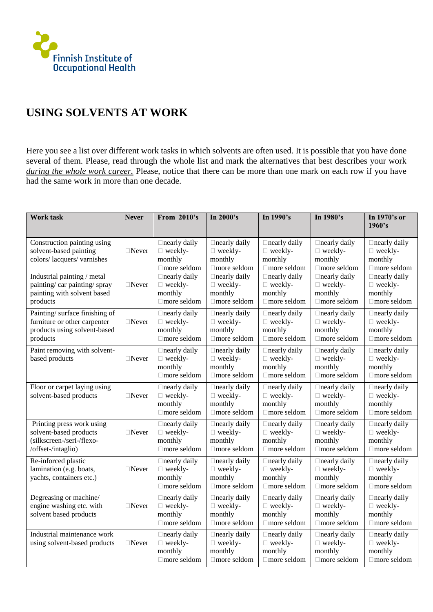

## **USING SOLVENTS AT WORK**

Here you see a list over different work tasks in which solvents are often used. It is possible that you have done several of them. Please, read through the whole list and mark the alternatives that best describes your work *during the whole work career.* Please, notice that there can be more than one mark on each row if you have had the same work in more than one decade.

| <b>Work task</b>                                                                                          | <b>Never</b>    | From 2010's                                                            | In $2000$ 's                                                           | In $1990$ 's                                                           | In 1980's                                                              | In 1970's or<br>1960's                                                 |
|-----------------------------------------------------------------------------------------------------------|-----------------|------------------------------------------------------------------------|------------------------------------------------------------------------|------------------------------------------------------------------------|------------------------------------------------------------------------|------------------------------------------------------------------------|
| Construction painting using<br>solvent-based painting<br>colors/lacquers/varnishes                        | $\Box$ Never    | $\Box$ nearly daily<br>$\Box$ weekly-<br>monthly<br>$\Box$ more seldom | $\Box$ nearly daily<br>$\Box$ weekly-<br>monthly<br>□ more seldom      | $\Box$ nearly daily<br>$\Box$ weekly-<br>monthly<br>□ more seldom      | $\Box$ nearly daily<br>$\Box$ weekly-<br>monthly<br>$\Box$ more seldom | $\Box$ nearly daily<br>$\Box$ weekly-<br>monthly<br>□ more seldom      |
| Industrial painting / metal<br>painting/car painting/spray<br>painting with solvent based<br>products     | $\Box$ Never    | $\Box$ nearly daily<br>$\Box$ weekly-<br>monthly<br>$\Box$ more seldom | $\Box$ nearly daily<br>$\Box$ weekly-<br>monthly<br>$\Box$ more seldom | $\Box$ nearly daily<br>$\Box$ weekly-<br>monthly<br>$\Box$ more seldom | $\Box$ nearly daily<br>$\Box$ weekly-<br>monthly<br>$\Box$ more seldom | $\Box$ nearly daily<br>$\Box$ weekly-<br>monthly<br>$\Box$ more seldom |
| Painting/surface finishing of<br>furniture or other carpenter<br>products using solvent-based<br>products | $\Box$ Never    | $\Box$ nearly daily<br>$\Box$ weekly-<br>monthly<br>$\Box$ more seldom | $\Box$ nearly daily<br>$\Box$ weekly-<br>monthly<br>$\Box$ more seldom | $\Box$ nearly daily<br>$\Box$ weekly-<br>monthly<br>$\Box$ more seldom | $\Box$ nearly daily<br>$\Box$ weekly-<br>monthly<br>$\Box$ more seldom | $\Box$ nearly daily<br>$\Box$ weekly-<br>monthly<br>$\Box$ more seldom |
| Paint removing with solvent-<br>based products                                                            | $\Box$ Never    | $\Box$ nearly daily<br>$\Box$ weekly-<br>monthly<br>$\Box$ more seldom | $\Box$ nearly daily<br>$\Box$ weekly-<br>monthly<br>$\Box$ more seldom | $\Box$ nearly daily<br>$\Box$ weekly-<br>monthly<br>$\Box$ more seldom | $\Box$ nearly daily<br>$\Box$ weekly-<br>monthly<br>$\Box$ more seldom | $\Box$ nearly daily<br>$\Box$ weekly-<br>monthly<br>$\Box$ more seldom |
| Floor or carpet laying using<br>solvent-based products                                                    | $\square$ Never | $\Box$ nearly daily<br>□ weekly-<br>monthly<br>$\Box$ more seldom      | $\Box$ nearly daily<br>$\Box$ weekly-<br>monthly<br>$\Box$ more seldom | $\Box$ nearly daily<br>□ weekly-<br>monthly<br>$\Box$ more seldom      | $\Box$ nearly daily<br>$\Box$ weekly-<br>monthly<br>$\Box$ more seldom | $\Box$ nearly daily<br>□ weekly-<br>monthly<br>$\Box$ more seldom      |
| Printing press work using<br>solvent-based products<br>(silkscreen-/seri-/flexo-<br>/offset-/intaglio)    | $\Box$ Never    | $\Box$ nearly daily<br>□ weekly-<br>monthly<br>□ more seldom           | $\Box$ nearly daily<br>$\Box$ weekly-<br>monthly<br>$\Box$ more seldom | $\Box$ nearly daily<br>□ weekly-<br>monthly<br>$\Box$ more seldom      | $\Box$ nearly daily<br>$\Box$ weekly-<br>monthly<br>$\Box$ more seldom | $\Box$ nearly daily<br>□ weekly-<br>monthly<br>$\Box$ more seldom      |
| Re-inforced plastic<br>lamination (e.g. boats,<br>yachts, containers etc.)                                | $\Box$ Never    | $\Box$ nearly daily<br>$\Box$ weekly-<br>monthly<br>□ more seldom      | $\Box$ nearly daily<br>$\Box$ weekly-<br>monthly<br>$\Box$ more seldom | $\Box$ nearly daily<br>$\Box$ weekly-<br>monthly<br>$\Box$ more seldom | $\Box$ nearly daily<br>$\Box$ weekly-<br>monthly<br>$\Box$ more seldom | $\Box$ nearly daily<br>$\Box$ weekly-<br>monthly<br>$\Box$ more seldom |
| Degreasing or machine/<br>engine washing etc. with<br>solvent based products                              | $\Box$ Never    | $\Box$ nearly daily<br>$\Box$ weekly-<br>monthly<br>□ more seldom      | $\Box$ nearly daily<br>$\Box$ weekly-<br>monthly<br>$\Box$ more seldom | $\Box$ nearly daily<br>$\Box$ weekly-<br>monthly<br>$\Box$ more seldom | $\Box$ nearly daily<br>$\Box$ weekly-<br>monthly<br>$\Box$ more seldom | $\Box$ nearly daily<br>$\Box$ weekly-<br>monthly<br>$\Box$ more seldom |
| Industrial maintenance work<br>using solvent-based products                                               | $\Box$ Never    | $\Box$ nearly daily<br>$\Box$ weekly-<br>monthly<br>$\Box$ more seldom | $\Box$ nearly daily<br>$\Box$ weekly-<br>monthly<br>$\Box$ more seldom | $\Box$ nearly daily<br>□ weekly-<br>monthly<br>$\Box$ more seldom      | $\Box$ nearly daily<br>$\Box$ weekly-<br>monthly<br>$\Box$ more seldom | $\Box$ nearly daily<br>□ weekly-<br>monthly<br>$\Box$ more seldom      |